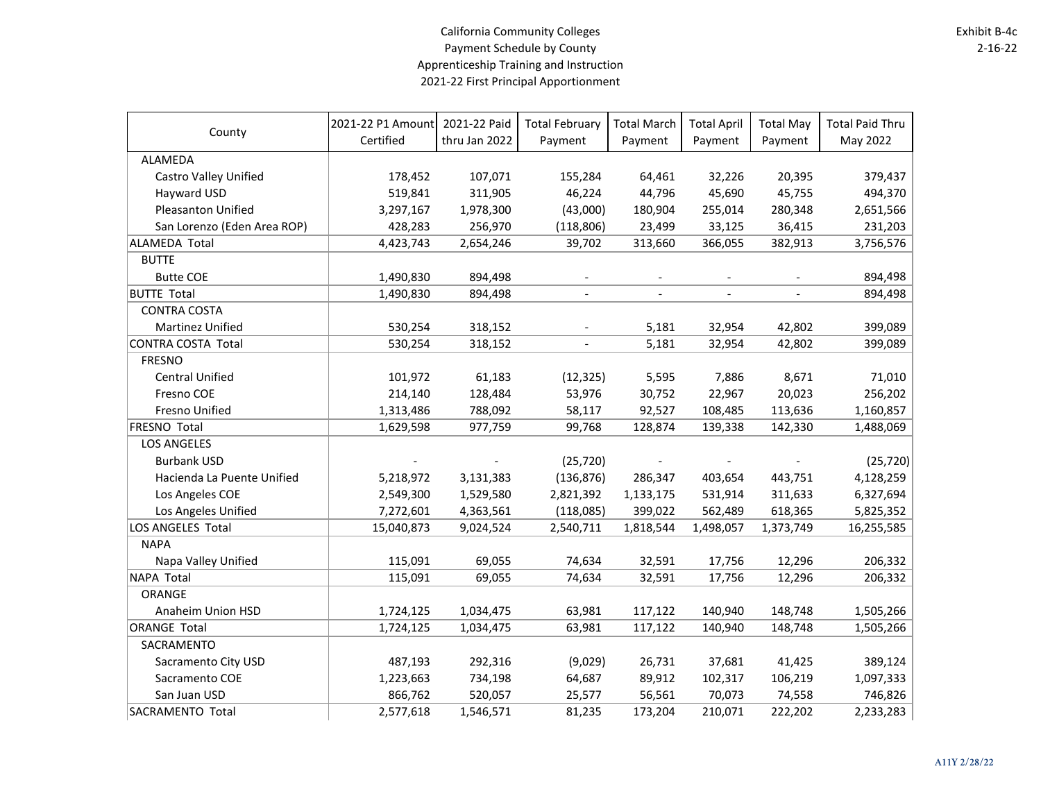## California Community Colleges Payment Schedule by County Apprenticeship Training and Instruction 2021-22 First Principal Apportionment

| County                       | 2021-22 P1 Amount | 2021-22 Paid  | <b>Total February</b>    | <b>Total March</b>       | <b>Total April</b> | <b>Total May</b> | <b>Total Paid Thru</b> |
|------------------------------|-------------------|---------------|--------------------------|--------------------------|--------------------|------------------|------------------------|
|                              | Certified         | thru Jan 2022 | Payment                  | Payment                  | Payment            | Payment          | May 2022               |
| ALAMEDA                      |                   |               |                          |                          |                    |                  |                        |
| <b>Castro Valley Unified</b> | 178,452           | 107,071       | 155,284                  | 64,461                   | 32,226             | 20,395           | 379,437                |
| Hayward USD                  | 519,841           | 311,905       | 46,224                   | 44,796                   | 45,690             | 45,755           | 494,370                |
| Pleasanton Unified           | 3,297,167         | 1,978,300     | (43,000)                 | 180,904                  | 255,014            | 280,348          | 2,651,566              |
| San Lorenzo (Eden Area ROP)  | 428,283           | 256,970       | (118, 806)               | 23,499                   | 33,125             | 36,415           | 231,203                |
| <b>ALAMEDA Total</b>         | 4,423,743         | 2,654,246     | 39,702                   | 313,660                  | 366,055            | 382,913          | 3,756,576              |
| <b>BUTTE</b>                 |                   |               |                          |                          |                    |                  |                        |
| <b>Butte COE</b>             | 1,490,830         | 894,498       |                          |                          |                    |                  | 894,498                |
| <b>BUTTE Total</b>           | 1,490,830         | 894,498       |                          | $\overline{\phantom{a}}$ |                    |                  | 894,498                |
| <b>CONTRA COSTA</b>          |                   |               |                          |                          |                    |                  |                        |
| Martinez Unified             | 530,254           | 318,152       |                          | 5,181                    | 32,954             | 42,802           | 399,089                |
| <b>CONTRA COSTA Total</b>    | 530,254           | 318,152       | $\overline{\phantom{a}}$ | 5,181                    | 32,954             | 42,802           | 399,089                |
| <b>FRESNO</b>                |                   |               |                          |                          |                    |                  |                        |
| <b>Central Unified</b>       | 101,972           | 61,183        | (12, 325)                | 5,595                    | 7,886              | 8,671            | 71,010                 |
| Fresno COE                   | 214,140           | 128,484       | 53,976                   | 30,752                   | 22,967             | 20,023           | 256,202                |
| Fresno Unified               | 1,313,486         | 788,092       | 58,117                   | 92,527                   | 108,485            | 113,636          | 1,160,857              |
| <b>FRESNO Total</b>          | 1,629,598         | 977,759       | 99,768                   | 128,874                  | 139,338            | 142,330          | 1,488,069              |
| <b>LOS ANGELES</b>           |                   |               |                          |                          |                    |                  |                        |
| <b>Burbank USD</b>           |                   |               | (25, 720)                |                          |                    |                  | (25, 720)              |
| Hacienda La Puente Unified   | 5,218,972         | 3,131,383     | (136, 876)               | 286,347                  | 403,654            | 443,751          | 4,128,259              |
| Los Angeles COE              | 2,549,300         | 1,529,580     | 2,821,392                | 1,133,175                | 531,914            | 311,633          | 6,327,694              |
| Los Angeles Unified          | 7,272,601         | 4,363,561     | (118,085)                | 399,022                  | 562,489            | 618,365          | 5,825,352              |
| LOS ANGELES Total            | 15,040,873        | 9,024,524     | 2,540,711                | 1,818,544                | 1,498,057          | 1,373,749        | 16,255,585             |
| <b>NAPA</b>                  |                   |               |                          |                          |                    |                  |                        |
| Napa Valley Unified          | 115,091           | 69,055        | 74,634                   | 32,591                   | 17,756             | 12,296           | 206,332                |
| NAPA Total                   | 115,091           | 69,055        | 74,634                   | 32,591                   | 17,756             | 12,296           | 206,332                |
| ORANGE                       |                   |               |                          |                          |                    |                  |                        |
| Anaheim Union HSD            | 1,724,125         | 1,034,475     | 63,981                   | 117,122                  | 140,940            | 148,748          | 1,505,266              |
| <b>ORANGE Total</b>          | 1,724,125         | 1,034,475     | 63,981                   | 117,122                  | 140,940            | 148,748          | 1,505,266              |
| SACRAMENTO                   |                   |               |                          |                          |                    |                  |                        |
| Sacramento City USD          | 487,193           | 292,316       | (9,029)                  | 26,731                   | 37,681             | 41,425           | 389,124                |
| Sacramento COE               | 1,223,663         | 734,198       | 64,687                   | 89,912                   | 102,317            | 106,219          | 1,097,333              |
| San Juan USD                 | 866,762           | 520,057       | 25,577                   | 56,561                   | 70,073             | 74,558           | 746,826                |
| SACRAMENTO Total             | 2,577,618         | 1,546,571     | 81,235                   | 173,204                  | 210,071            | 222,202          | 2,233,283              |